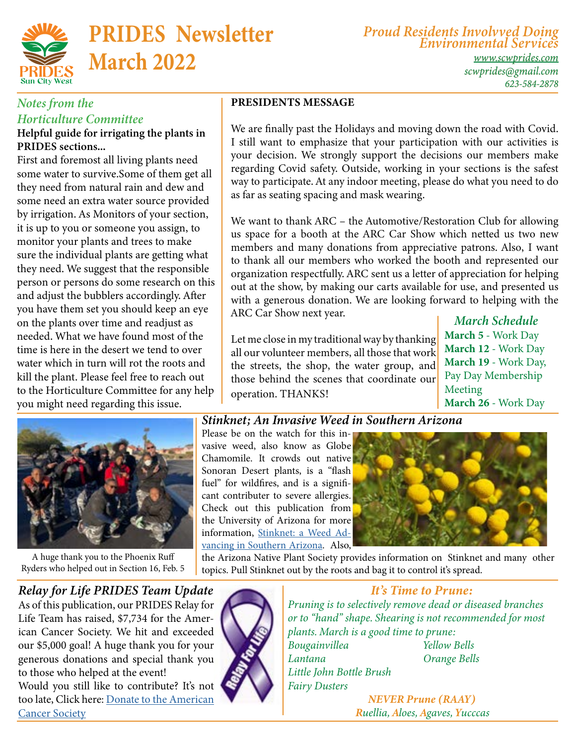

# PRIDES Newsletter March 2022

*Proud Residents Involvved Doing Environmental Services*

*[www.scwprides.com](https://scwprides.com/) [scwprides@gmail.com](mailto:scwprides@gmail.com) 623-584-2878*

#### *Notes from the Horticulture Committee*

#### Helpful guide for irrigating the plants in PRIDES sections...

First and foremost all living plants need some water to survive.Some of them get all they need from natural rain and dew and some need an extra water source provided by irrigation. As Monitors of your section, it is up to you or someone you assign, to monitor your plants and trees to make sure the individual plants are getting what they need. We suggest that the responsible person or persons do some research on this and adjust the bubblers accordingly. After you have them set you should keep an eye on the plants over time and readjust as needed. What we have found most of the time is here in the desert we tend to over water which in turn will rot the roots and kill the plant. Please feel free to reach out to the Horticulture Committee for any help you might need regarding this issue.

A huge thank you to the Phoenix Ruff Ryders who helped out in Section 16, Feb. 5

#### PRESIDENTS MESSAGE

We are finally past the Holidays and moving down the road with Covid. I still want to emphasize that your participation with our activities is your decision. We strongly support the decisions our members make regarding Covid safety. Outside, working in your sections is the safest way to participate. At any indoor meeting, please do what you need to do as far as seating spacing and mask wearing.

We want to thank ARC – the Automotive/Restoration Club for allowing us space for a booth at the ARC Car Show which netted us two new members and many donations from appreciative patrons. Also, I want to thank all our members who worked the booth and represented our organization respectfully. ARC sent us a letter of appreciation for helping out at the show, by making our carts available for use, and presented us with a generous donation. We are looking forward to helping with the ARC Car Show next year.

Let me close in my traditional way by thanking all our volunteer members, all those that work the streets, the shop, the water group, and those behind the scenes that coordinate our operation. THANKS!

 *March Schedule* March 5 - Work Day March 12 - Work Day March 19 - Work Day, Pay Day Membership Meeting March 26 - Work Day

#### *Stinknet; An Invasive Weed in Southern Arizona*

Please be on the watch for this invasive weed, also know as Globe Chamomile. It crowds out native Sonoran Desert plants, is a "flash fuel" for wildfires, and is a significant contributer to severe allergies. Check out this publication from the University of Arizona for more information, [Stinknet: a Weed Ad](chrome-extension://efaidnbmnnnibpcajpcglclefindmkaj/viewer.html?pdfurl=https%3A%2F%2Fextension.arizona.edu%2Fsites%2Fextension.arizona.edu%2Ffiles%2Fpubs%2Faz1827-2020.pdf&clen=4478628&chunk=true)[vancing in Southern Arizona.](chrome-extension://efaidnbmnnnibpcajpcglclefindmkaj/viewer.html?pdfurl=https%3A%2F%2Fextension.arizona.edu%2Fsites%2Fextension.arizona.edu%2Ffiles%2Fpubs%2Faz1827-2020.pdf&clen=4478628&chunk=true) Also,



the Arizona Native Plant Society provides information on Stinknet and many other topics. Pull Stinknet out by the roots and bag it to control it's spread.

#### *Relay for Life PRIDES Team Update*

As of this publication, our PRIDES Relay for Life Team has raised, \$7,734 for the American Cancer Society. We hit and exceeded our \$5,000 goal! A huge thank you for your generous donations and special thank you to those who helped at the event! Would you still like to contribute? It's not too late, Click here: [Donate]( https://secure.acsevents.org/site/STR/RelayForLife/RFLCY22SOR?team_id=2584482&pg=team&fr_id=101377
) to the American **Cancer Society** 



#### *It's Time to Prune:*

*Pruning is to selectively remove dead or diseased branches or to "hand" shape. Shearing is not recommended for most plants. March is a good time to prune: Bougainvillea Yellow Bells*

*Lantana Orange Bells Little John Bottle Brush Fairy Dusters*

*NEVER Prune (RAAY) Ruellia, Aloes, Agaves, Yucccas*